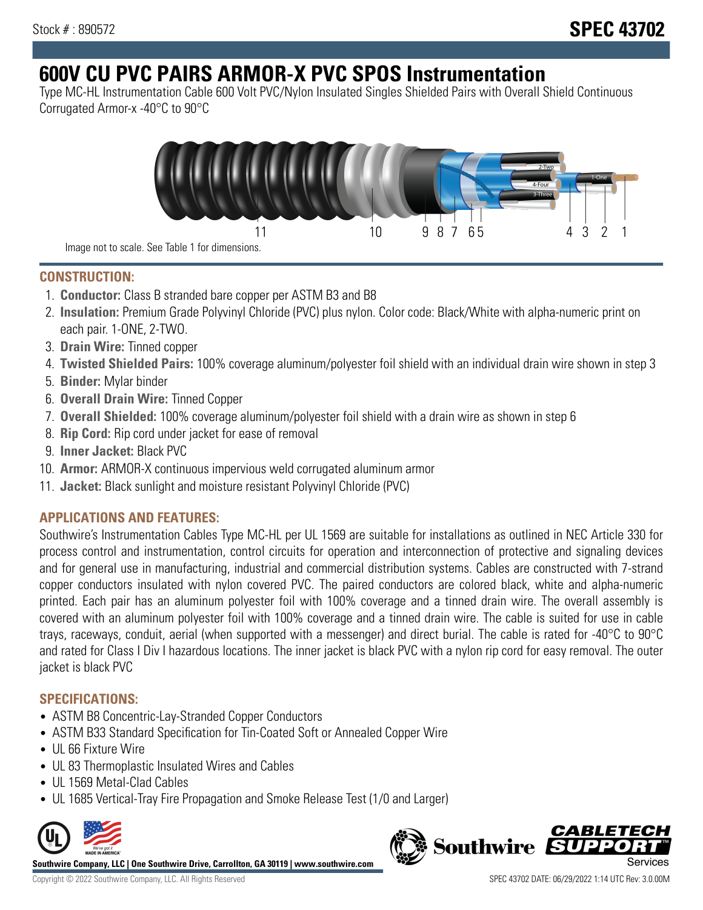# **600V CU PVC PAIRS ARMOR-X PVC SPOS Instrumentation**

Type MC-HL Instrumentation Cable 600 Volt PVC/Nylon Insulated Singles Shielded Pairs with Overall Shield Continuous Corrugated Armor-x -40°C to 90°C



**CONSTRUCTION:**

- 1. **Conductor:** Class B stranded bare copper per ASTM B3 and B8
- 2. **Insulation:** Premium Grade Polyvinyl Chloride (PVC) plus nylon. Color code: Black/White with alpha-numeric print on each pair. 1-ONE, 2-TWO.
- 3. **Drain Wire:** Tinned copper
- 4. **Twisted Shielded Pairs:** 100% coverage aluminum/polyester foil shield with an individual drain wire shown in step 3
- 5. **Binder:** Mylar binder
- 6. **Overall Drain Wire:** Tinned Copper
- 7. **Overall Shielded:** 100% coverage aluminum/polyester foil shield with a drain wire as shown in step 6
- 8. **Rip Cord:** Rip cord under jacket for ease of removal
- 9. **Inner Jacket:** Black PVC
- 10. **Armor:** ARMOR-X continuous impervious weld corrugated aluminum armor
- 11. **Jacket:** Black sunlight and moisture resistant Polyvinyl Chloride (PVC)

# **APPLICATIONS AND FEATURES:**

Southwire's Instrumentation Cables Type MC-HL per UL 1569 are suitable for installations as outlined in NEC Article 330 for process control and instrumentation, control circuits for operation and interconnection of protective and signaling devices and for general use in manufacturing, industrial and commercial distribution systems. Cables are constructed with 7-strand copper conductors insulated with nylon covered PVC. The paired conductors are colored black, white and alpha-numeric printed. Each pair has an aluminum polyester foil with 100% coverage and a tinned drain wire. The overall assembly is covered with an aluminum polyester foil with 100% coverage and a tinned drain wire. The cable is suited for use in cable trays, raceways, conduit, aerial (when supported with a messenger) and direct burial. The cable is rated for -40°C to 90°C and rated for Class I Div I hazardous locations. The inner jacket is black PVC with a nylon rip cord for easy removal. The outer jacket is black PVC

## **SPECIFICATIONS:**

- ASTM B8 Concentric-Lay-Stranded Copper Conductors
- ASTM B33 Standard Specification for Tin-Coated Soft or Annealed Copper Wire
- UL 66 Fixture Wire
- UL 83 Thermoplastic Insulated Wires and Cables
- UL 1569 Metal-Clad Cables
- UL 1685 Vertical-Tray Fire Propagation and Smoke Release Test (1/0 and Larger)



**Southwire Company, LLC | One Southwire Drive, Carrollton, GA 30119 | www.southwire.com**